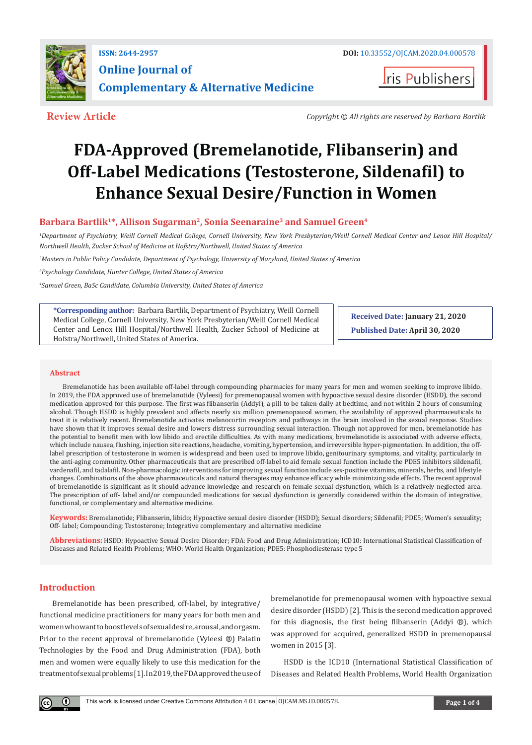

**I**ris Publishers

**Review Article** *Copyright © All rights are reserved by Barbara Bartlik*

# **FDA-Approved (Bremelanotide, Flibanserin) and Off-Label Medications (Testosterone, Sildenafil) to Enhance Sexual Desire/Function in Women**

# **Barbara Bartlik1\*, Allison Sugarman2, Sonia Seenaraine3 and Samuel Green4**

*1 Department of Psychiatry, Weill Cornell Medical College, Cornell University, New York Presbyterian/Weill Cornell Medical Center and Lenox Hill Hospital/ Northwell Health, Zucker School of Medicine at Hofstra/Northwell, United States of America*

*2 Masters in Public Policy Candidate, Department of Psychology, University of Maryland, United States of America* 

*3 Psychology Candidate, Hunter College, United States of America* 

*4 Samuel Green, BaSc Candidate, Columbia University, United States of America*

**\*Corresponding author:** Barbara Bartlik, Department of Psychiatry, Weill Cornell Medical College, Cornell University, New York Presbyterian/Weill Cornell Medical Center and Lenox Hill Hospital/Northwell Health, Zucker School of Medicine at Hofstra/Northwell, United States of America.

**Received Date: January 21, 2020 Published Date: April 30, 2020**

#### **Abstract**

Bremelanotide has been available off-label through compounding pharmacies for many years for men and women seeking to improve libido. In 2019, the FDA approved use of bremelanotide (Vyleesi) for premenopausal women with hypoactive sexual desire disorder (HSDD), the second medication approved for this purpose. The first was flibanserin (Addyi), a pill to be taken daily at bedtime, and not within 2 hours of consuming alcohol. Though HSDD is highly prevalent and affects nearly six million premenopausal women, the availability of approved pharmaceuticals to treat it is relatively recent. Bremelanotide activates melanocortin receptors and pathways in the brain involved in the sexual response. Studies have shown that it improves sexual desire and lowers distress surrounding sexual interaction. Though not approved for men, bremelanotide has the potential to benefit men with low libido and erectile difficulties. As with many medications, bremelanotide is associated with adverse effects, which include nausea, flushing, injection site reactions, headache, vomiting, hypertension, and irreversible hyper-pigmentation. In addition, the offlabel prescription of testosterone in women is widespread and been used to improve libido, genitourinary symptoms, and vitality, particularly in the anti-aging community. Other pharmaceuticals that are prescribed off-label to aid female sexual function include the PDE5 inhibitors sildenafil, vardenafil, and tadalafil. Non-pharmacologic interventions for improving sexual function include sex-positive vitamins, minerals, herbs, and lifestyle changes. Combinations of the above pharmaceuticals and natural therapies may enhance efficacy while minimizing side effects. The recent approval of bremelanotide is significant as it should advance knowledge and research on female sexual dysfunction, which is a relatively neglected area. The prescription of off- label and/or compounded medications for sexual dysfunction is generally considered within the domain of integrative, functional, or complementary and alternative medicine.

**Keywords:** Bremelanotide; Flibanserin, libido; Hypoactive sexual desire disorder (HSDD); Sexual disorders; Sildenafil; PDE5; Women's sexuality; Off- label; Compounding; Testosterone; Integrative complementary and alternative medicine

**Abbreviations:** HSDD: Hypoactive Sexual Desire Disorder; FDA: Food and Drug Administration; ICD10: International Statistical Classification of Diseases and Related Health Problems; WHO: World Health Organization; PDE5: Phosphodiesterase type 5

## **Introduction**

 $\left( \mathbf{r} \right)$ 

Bremelanotide has been prescribed, off-label, by integrative/ functional medicine practitioners for many years for both men and women who want to boost levels of sexual desire, arousal, and orgasm. Prior to the recent approval of bremelanotide (Vyleesi ®) Palatin Technologies by the Food and Drug Administration (FDA), both men and women were equally likely to use this medication for the treatment of sexual problems [1]. In 2019, the FDA approved the use of bremelanotide for premenopausal women with hypoactive sexual desire disorder (HSDD) [2]. This is the second medication approved for this diagnosis, the first being flibanserin (Addyi ®), which was approved for acquired, generalized HSDD in premenopausal women in 2015 [3].

HSDD is the ICD10 (International Statistical Classification of Diseases and Related Health Problems, World Health Organization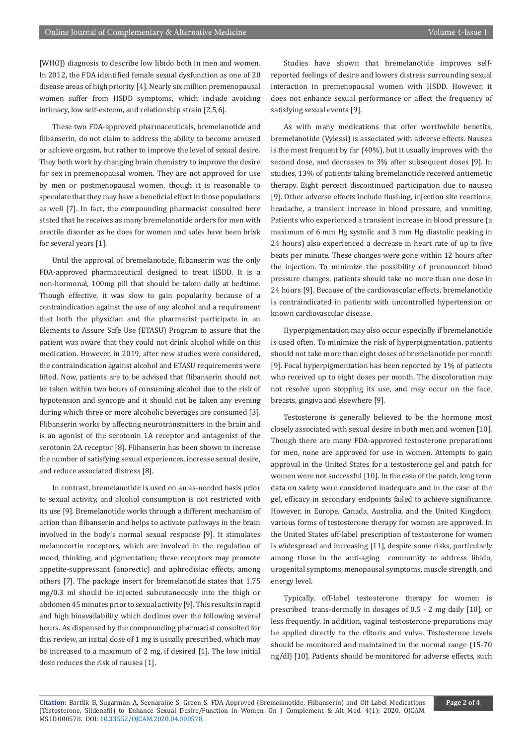[WHO]) diagnosis to describe low libido both in men and women. In 2012, the FDA identified female sexual dysfunction as one of 20 disease areas of high priority [4]. Nearly six million premenopausal women suffer from HSDD symptoms, which include avoiding intimacy, low self-esteem, and relationship strain [2,5,6].

These two FDA-approved pharmaceuticals, bremelanotide and flibanserin, do not claim to address the ability to become aroused or achieve orgasm, but rather to improve the level of sexual desire. They both work by changing brain chemistry to improve the desire for sex in premenopausal women. They are not approved for use by men or postmenopausal women, though it is reasonable to speculate that they may have a beneficial effect in those populations as well [7]. In fact, the compounding pharmacist consulted here stated that he receives as many bremelanotide orders for men with erectile disorder as he does for women and sales have been brisk for several years [1].

Until the approval of bremelanotide, flibanserin was the only FDA-approved pharmaceutical designed to treat HSDD. It is a non-hormonal, 100mg pill that should be taken daily at bedtime. Though effective, it was slow to gain popularity because of a contraindication against the use of any alcohol and a requirement that both the physician and the pharmacist participate in an Elements to Assure Safe Use (ETASU) Program to assure that the patient was aware that they could not drink alcohol while on this medication. However, in 2019, after new studies were considered, the contraindication against alcohol and ETASU requirements were lifted. Now, patients are to be advised that flibanserin should not be taken within two hours of consuming alcohol due to the risk of hypotension and syncope and it should not be taken any evening during which three or more alcoholic beverages are consumed [3]. Flibanserin works by affecting neurotransmitters in the brain and is an agonist of the serotonin 1A receptor and antagonist of the serotonin 2A receptor [8]. Flibanserin has been shown to increase the number of satisfying sexual experiences, increase sexual desire, and reduce associated distress [8].

In contrast, bremelanotide is used on an as-needed basis prior to sexual activity, and alcohol consumption is not restricted with its use [9]. Bremelanotide works through a different mechanism of action than flibanserin and helps to activate pathways in the brain involved in the body's normal sexual response [9]. It stimulates melanocortin receptors, which are involved in the regulation of mood, thinking, and pigmentation; these receptors may promote appetite-suppressant (anorectic) and aphrodisiac effects, among others [7]. The package insert for bremelanotide states that 1.75 mg/0.3 ml should be injected subcutaneously into the thigh or abdomen 45 minutes prior to sexual activity [9]. This results in rapid and high bioavailability which declines over the following several hours. As dispensed by the compounding pharmacist consulted for this review, an initial dose of 1 mg is usually prescribed, which may be increased to a maximum of 2 mg, if desired [1]. The low initial dose reduces the risk of nausea [1].

Studies have shown that bremelanotide improves selfreported feelings of desire and lowers distress surrounding sexual interaction in premenopausal women with HSDD. However, it does not enhance sexual performance or affect the frequency of satisfying sexual events [9].

As with many medications that offer worthwhile benefits, bremelanotide (Vylessi) is associated with adverse effects. Nausea is the most frequent by far (40%), but it usually improves with the second dose, and decreases to 3% after subsequent doses [9]. In studies, 13% of patients taking bremelanotide received antiemetic therapy. Eight percent discontinued participation due to nausea [9]. Other adverse effects include flushing, injection site reactions, headache, a transient increase in blood pressure, and vomiting. Patients who experienced a transient increase in blood pressure (a maximum of 6 mm Hg systolic and 3 mm Hg diastolic peaking in 24 hours) also experienced a decrease in heart rate of up to five beats per minute. These changes were gone within 12 hours after the injection. To minimize the possibility of pronounced blood pressure changes, patients should take no more than one dose in 24 hours [9]. Because of the cardiovascular effects, bremelanotide is contraindicated in patients with uncontrolled hypertension or known cardiovascular disease.

Hyperpigmentation may also occur especially if bremelanotide is used often. To minimize the risk of hyperpigmentation, patients should not take more than eight doses of bremelanotide per month [9]. Focal hyperpigmentation has been reported by 1% of patients who received up to eight doses per month. The discoloration may not resolve upon stopping its use, and may occur on the face, breasts, gingiva and elsewhere [9].

Testosterone is generally believed to be the hormone most closely associated with sexual desire in both men and women [10]. Though there are many FDA-approved testosterone preparations for men, none are approved for use in women. Attempts to gain approval in the United States for a testosterone gel and patch for women were not successful [10]. In the case of the patch, long term data on safety were considered inadequate and in the case of the gel, efficacy in secondary endpoints failed to achieve significance. However, in Europe, Canada, Australia, and the United Kingdom, various forms of testosterone therapy for women are approved. In the United States off-label prescription of testosterone for women is widespread and increasing [11], despite some risks, particularly among those in the anti-aging community to address libido, urogenital symptoms, menopausal symptoms, muscle strength, and energy level.

Typically, off-label testosterone therapy for women is prescribed trans-dermally in dosages of 0.5 - 2 mg daily [10], or less frequently. In addition, vaginal testosterone preparations may be applied directly to the clitoris and vulva. Testosterone levels should be monitored and maintained in the normal range (15-70 ng/dl) [10]. Patients should be monitored for adverse effects, such

**Citation:** Bartlik B, Sugarman A, Seenaraine S, Green S. FDA-Approved (Bremelanotide, Flibanserin) and Off-Label Medications (Testosterone, Sildenafil) to Enhance Sexual Desire/Function in Women. On J Complement & Alt Med. 4(1): 2020. OJCAM. MS.ID.000578. DOI: [10.33552/OJCAM.2020.04.000578](http://dx.doi.org/10.33552/OJCAM.2020.04.000578).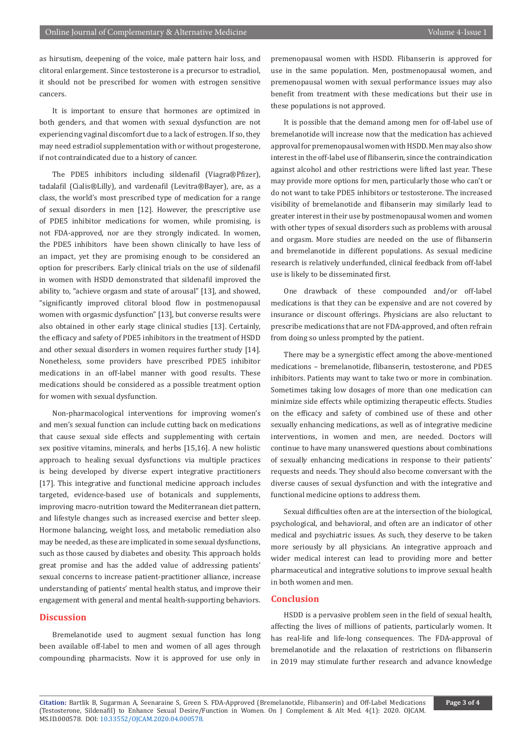as hirsutism, deepening of the voice, male pattern hair loss, and clitoral enlargement. Since testosterone is a precursor to estradiol, it should not be prescribed for women with estrogen sensitive cancers.

It is important to ensure that hormones are optimized in both genders, and that women with sexual dysfunction are not experiencing vaginal discomfort due to a lack of estrogen. If so, they may need estradiol supplementation with or without progesterone, if not contraindicated due to a history of cancer.

The PDE5 inhibitors including sildenafil (Viagra®Pfizer), tadalafil (Cialis®Lilly), and vardenafil (Levitra®Bayer), are, as a class, the world's most prescribed type of medication for a range of sexual disorders in men [12]. However, the prescriptive use of PDE5 inhibitor medications for women, while promising, is not FDA-approved, nor are they strongly indicated. In women, the PDE5 inhibitors have been shown clinically to have less of an impact, yet they are promising enough to be considered an option for prescribers. Early clinical trials on the use of sildenafil in women with HSDD demonstrated that sildenafil improved the ability to, "achieve orgasm and state of arousal" [13], and showed, "significantly improved clitoral blood flow in postmenopausal women with orgasmic dysfunction" [13], but converse results were also obtained in other early stage clinical studies [13]. Certainly, the efficacy and safety of PDE5 inhibitors in the treatment of HSDD and other sexual disorders in women requires further study [14]. Nonetheless, some providers have prescribed PDE5 inhibitor medications in an off-label manner with good results. These medications should be considered as a possible treatment option for women with sexual dysfunction.

Non-pharmacological interventions for improving women's and men's sexual function can include cutting back on medications that cause sexual side effects and supplementing with certain sex positive vitamins, minerals, and herbs [15,16]. A new holistic approach to healing sexual dysfunctions via multiple practices is being developed by diverse expert integrative practitioners [17]. This integrative and functional medicine approach includes targeted, evidence-based use of botanicals and supplements, improving macro-nutrition toward the Mediterranean diet pattern, and lifestyle changes such as increased exercise and better sleep. Hormone balancing, weight loss, and metabolic remediation also may be needed, as these are implicated in some sexual dysfunctions, such as those caused by diabetes and obesity. This approach holds great promise and has the added value of addressing patients' sexual concerns to increase patient-practitioner alliance, increase understanding of patients' mental health status, and improve their engagement with general and mental health-supporting behaviors.

#### **Discussion**

Bremelanotide used to augment sexual function has long been available off-label to men and women of all ages through compounding pharmacists. Now it is approved for use only in

premenopausal women with HSDD. Flibanserin is approved for use in the same population. Men, postmenopausal women, and premenopausal women with sexual performance issues may also benefit from treatment with these medications but their use in these populations is not approved.

It is possible that the demand among men for off-label use of bremelanotide will increase now that the medication has achieved approval for premenopausal women with HSDD. Men may also show interest in the off-label use of flibanserin, since the contraindication against alcohol and other restrictions were lifted last year. These may provide more options for men, particularly those who can't or do not want to take PDE5 inhibitors or testosterone. The increased visibility of bremelanotide and flibanserin may similarly lead to greater interest in their use by postmenopausal women and women with other types of sexual disorders such as problems with arousal and orgasm. More studies are needed on the use of flibanserin and bremelanotide in different populations. As sexual medicine research is relatively underfunded, clinical feedback from off-label use is likely to be disseminated first.

One drawback of these compounded and/or off-label medications is that they can be expensive and are not covered by insurance or discount offerings. Physicians are also reluctant to prescribe medications that are not FDA-approved, and often refrain from doing so unless prompted by the patient.

There may be a synergistic effect among the above-mentioned medications – bremelanotide, flibanserin, testosterone, and PDE5 inhibitors. Patients may want to take two or more in combination. Sometimes taking low dosages of more than one medication can minimize side effects while optimizing therapeutic effects. Studies on the efficacy and safety of combined use of these and other sexually enhancing medications, as well as of integrative medicine interventions, in women and men, are needed. Doctors will continue to have many unanswered questions about combinations of sexually enhancing medications in response to their patients' requests and needs. They should also become conversant with the diverse causes of sexual dysfunction and with the integrative and functional medicine options to address them.

Sexual difficulties often are at the intersection of the biological, psychological, and behavioral, and often are an indicator of other medical and psychiatric issues. As such, they deserve to be taken more seriously by all physicians. An integrative approach and wider medical interest can lead to providing more and better pharmaceutical and integrative solutions to improve sexual health in both women and men.

## **Conclusion**

HSDD is a pervasive problem seen in the field of sexual health, affecting the lives of millions of patients, particularly women. It has real-life and life-long consequences. The FDA-approval of bremelanotide and the relaxation of restrictions on flibanserin in 2019 may stimulate further research and advance knowledge

**Citation:** Bartlik B, Sugarman A, Seenaraine S, Green S. FDA-Approved (Bremelanotide, Flibanserin) and Off-Label Medications (Testosterone, Sildenafil) to Enhance Sexual Desire/Function in Women. On J Complement & Alt Med. 4(1): 2020. OJCAM. MS.ID.000578. DOI: [10.33552/OJCAM.2020.04.000578](http://dx.doi.org/10.33552/OJCAM.2020.04.000578).